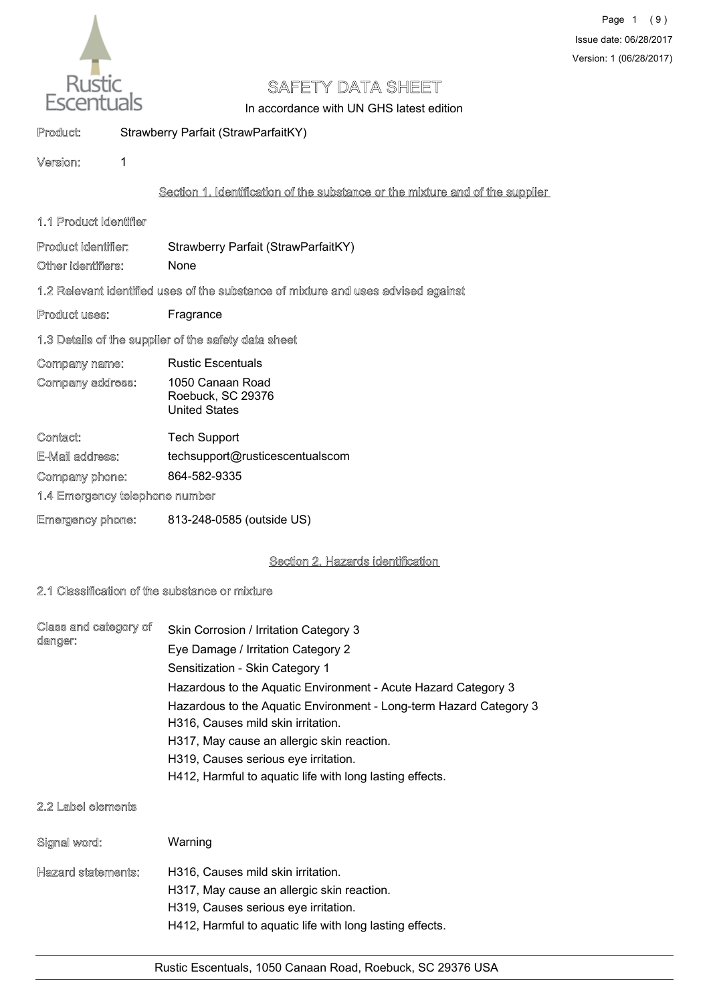

In accordance with UN GHS latest edition

# Product: Strawberry Parfait (StrawParfaitKY)

Version: 1

# Section 1. Identification of the substance or the mixture and of the supplier

1.1 Product Identifier

Product identifier: Strawberry Parfait (StrawParfaitKY) Other identifiers: None

## 1.2 Relevant identified uses of the substance of mixture and uses advised against

Product uses: Fragrance

## 1.3 Details of the supplier of the safety data sheet

Company name: Rustic Escentuals 1050 Canaan Road Roebuck, SC 29376 United States Company address:

| Contact:                       | <b>Tech Support</b>             |
|--------------------------------|---------------------------------|
| E-Mail address:                | techsupport@rusticescentualscom |
| Company phone:                 | 864-582-9335                    |
| 1.4 Emergency telephone number |                                 |
| <b>Emergency phone:</b>        | 813-248-0585 (outside US)       |

# Section 2. Hazards identification

## 2.1 Classification of the substance or mixture

| Class and category of<br>danger: | Skin Corrosion / Irritation Category 3                             |
|----------------------------------|--------------------------------------------------------------------|
|                                  | Eye Damage / Irritation Category 2                                 |
|                                  | Sensitization - Skin Category 1                                    |
|                                  | Hazardous to the Aquatic Environment - Acute Hazard Category 3     |
|                                  | Hazardous to the Aquatic Environment - Long-term Hazard Category 3 |
|                                  | H316, Causes mild skin irritation.                                 |
|                                  | H317, May cause an allergic skin reaction.                         |
|                                  | H319, Causes serious eye irritation.                               |
|                                  | H412, Harmful to aquatic life with long lasting effects.           |

#### 2.2 Label elements

| Signal word:       | Warning                                                                                                                                                                              |
|--------------------|--------------------------------------------------------------------------------------------------------------------------------------------------------------------------------------|
| Hazard statements: | H316, Causes mild skin irritation.<br>H317, May cause an allergic skin reaction.<br>H319, Causes serious eye irritation.<br>H412, Harmful to aquatic life with long lasting effects. |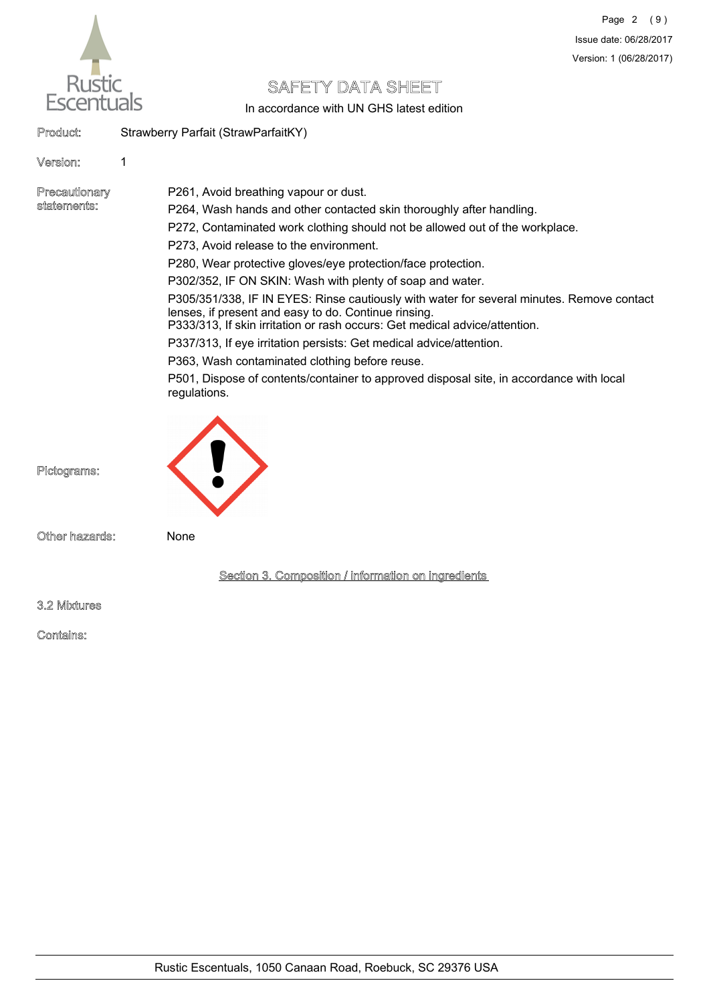

In accordance with UN GHS latest edition

Product: Strawberry Parfait (StrawParfaitKY)

### Version: 1

Precautionary statements:

P261, Avoid breathing vapour or dust.

P264, Wash hands and other contacted skin thoroughly after handling.

P272, Contaminated work clothing should not be allowed out of the workplace.

P273, Avoid release to the environment.

P280, Wear protective gloves/eye protection/face protection.

P302/352, IF ON SKIN: Wash with plenty of soap and water.

P305/351/338, IF IN EYES: Rinse cautiously with water for several minutes. Remove contact lenses, if present and easy to do. Continue rinsing.

P333/313, If skin irritation or rash occurs: Get medical advice/attention.

P337/313, If eye irritation persists: Get medical advice/attention.

P363, Wash contaminated clothing before reuse.

P501, Dispose of contents/container to approved disposal site, in accordance with local regulations.



Pictograms:

Other hazards: None

Section 3. Composition / information on ingredients

3.2 Mixtures

Contains: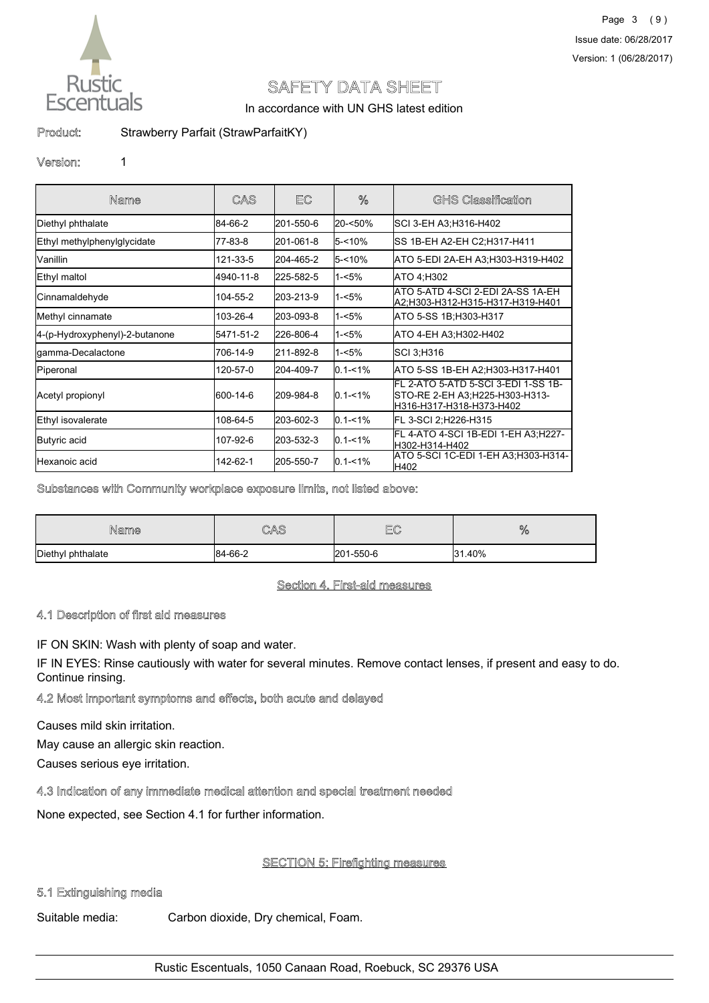

In accordance with UN GHS latest edition

Product: Strawberry Parfait (StrawParfaitKY)

#### Version: 1

| Name                           | CAS       | EC        | %             | <b>GHS Classification</b>                                                                         |
|--------------------------------|-----------|-----------|---------------|---------------------------------------------------------------------------------------------------|
| Diethyl phthalate              | 84-66-2   | 201-550-6 | l20-<50%      | SCI 3-EH A3:H316-H402                                                                             |
| Ethyl methylphenylglycidate    | 77-83-8   | 201-061-8 | l5-<10%       | SS 1B-EH A2-EH C2;H317-H411                                                                       |
| Vanillin                       | 121-33-5  | 204-465-2 | 5-<10%        | ATO 5-EDI 2A-EH A3:H303-H319-H402                                                                 |
| Ethyl maltol                   | 4940-11-8 | 225-582-5 | l1-<5%        | ATO 4:H302                                                                                        |
| Cinnamaldehyde                 | 104-55-2  | 203-213-9 | $1 - 5%$      | ATO 5-ATD 4-SCI 2-EDI 2A-SS 1A-EH<br> A2:H303-H312-H315-H317-H319-H401                            |
| Methyl cinnamate               | 103-26-4  | 203-093-8 | l1-<5%        | ATO 5-SS 1B: H303-H317                                                                            |
| 4-(p-Hydroxyphenyl)-2-butanone | 5471-51-2 | 226-806-4 | $1 - 5%$      | ATO 4-EH A3:H302-H402                                                                             |
| gamma-Decalactone              | 706-14-9  | 211-892-8 | l1-<5%        | SCI 3:H316                                                                                        |
| Piperonal                      | 120-57-0  | 204-409-7 | $0.1 - 1%$    | ATO 5-SS 1B-EH A2; H303-H317-H401                                                                 |
| Acetyl propionyl               | 600-14-6  | 209-984-8 | $10.1 - 1\%$  | FL 2-ATO 5-ATD 5-SCI 3-EDI 1-SS 1B-<br>STO-RE 2-EH A3;H225-H303-H313-<br>H316-H317-H318-H373-H402 |
| Ethyl isovalerate              | 108-64-5  | 203-602-3 | $ 0.1 - 1\% $ | FL 3-SCI 2;H226-H315                                                                              |
| Butyric acid                   | 107-92-6  | 203-532-3 | $ 0.1 - 1\%$  | FL 4-ATO 4-SCI 1B-EDI 1-EH A3:H227-<br>H302-H314-H402                                             |
| Hexanoic acid                  | 142-62-1  | 205-550-7 | $ 0.1 - 1\%$  | ATO 5-SCI 1C-EDI 1-EH A3:H303-H314-<br>H402                                                       |

#### Substances with Community workplace exposure limits, not listed above:

| Name              | CAS     | $E^{\sim}$<br>⊌⊌ | %      |
|-------------------|---------|------------------|--------|
| Diethyl phthalate | 84-66-2 | 201-550-6        | 31.40% |

#### Section 4. First-aid measures

#### 4.1 Description of first aid measures

IF ON SKIN: Wash with plenty of soap and water.

IF IN EYES: Rinse cautiously with water for several minutes. Remove contact lenses, if present and easy to do. Continue rinsing.

#### 4.2 Most important symptoms and effects, both acute and delayed

Causes mild skin irritation.

May cause an allergic skin reaction.

Causes serious eye irritation.

#### 4.3 Indication of any immediate medical attention and special treatment needed

None expected, see Section 4.1 for further information.

# **SECTION 5: Firefighting measures**

## 5.1 Extinguishing media

Suitable media: Carbon dioxide, Dry chemical, Foam.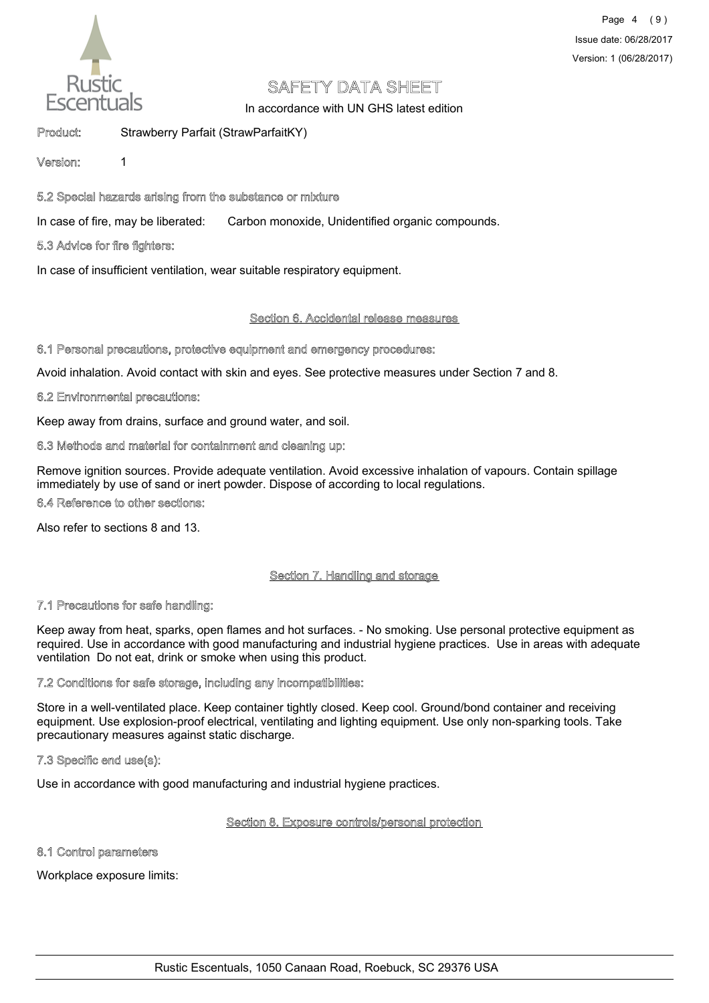

# Page 4 (9) Issue date: 06/28/2017 Version: 1 (06/28/2017)

# SAFETY DATA SHEET

In accordance with UN GHS latest edition

# Product: Strawberry Parfait (StrawParfaitKY)

### Version: 1

# 5.2 Special hazards arising from the substance or mixture

In case of fire, may be liberated: Carbon monoxide, Unidentified organic compounds.

## 5.3 Advice for fire fighters:

In case of insufficient ventilation, wear suitable respiratory equipment.

#### Section 6. Accidental release measures

#### 6.1 Personal precautions, protective equipment and emergency procedures:

Avoid inhalation. Avoid contact with skin and eyes. See protective measures under Section 7 and 8.

#### 6.2 Environmental precautions:

Keep away from drains, surface and ground water, and soil.

#### 6.3 Methods and material for containment and cleaning up:

Remove ignition sources. Provide adequate ventilation. Avoid excessive inhalation of vapours. Contain spillage immediately by use of sand or inert powder. Dispose of according to local regulations.

# 6.4 Reference to other sections:

Also refer to sections 8 and 13.

# Section 7. Handling and storage

#### 7.1 Precautions for safe handling:

Keep away from heat, sparks, open flames and hot surfaces. - No smoking. Use personal protective equipment as required. Use in accordance with good manufacturing and industrial hygiene practices. Use in areas with adequate ventilation Do not eat, drink or smoke when using this product.

#### 7.2 Conditions for safe storage, including any incompatibilities:

Store in a well-ventilated place. Keep container tightly closed. Keep cool. Ground/bond container and receiving equipment. Use explosion-proof electrical, ventilating and lighting equipment. Use only non-sparking tools. Take precautionary measures against static discharge.

#### 7.3 Specific end use(s):

Use in accordance with good manufacturing and industrial hygiene practices.

#### Section 8. Exposure controls/personal protection

#### 8.1 Control parameters

Workplace exposure limits: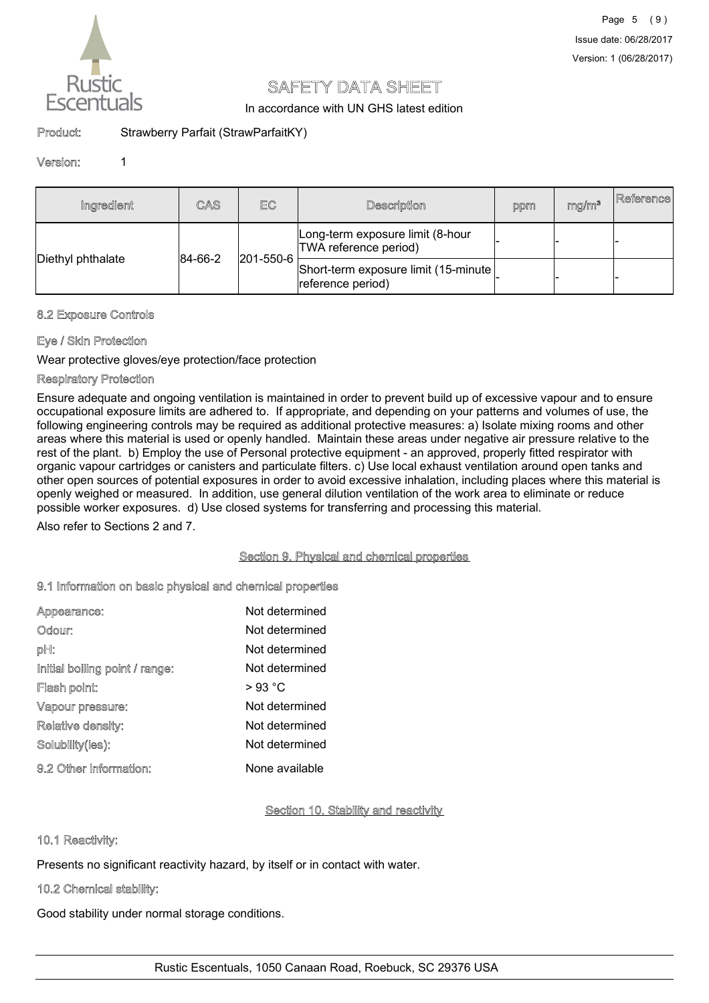

In accordance with UN GHS latest edition

# Product: Strawberry Parfait (StrawParfaitKY)

#### Version: 1

| Ingredient        | CAS         | EC                                                        | Description                                                | ppm | mg/m <sup>3</sup> | Reference |
|-------------------|-------------|-----------------------------------------------------------|------------------------------------------------------------|-----|-------------------|-----------|
|                   |             | Long-term exposure limit (8-hour<br>TWA reference period) |                                                            |     |                   |           |
| Diethyl phthalate | $ 84-66-2 $ | 201-550-6                                                 | Short-term exposure limit (15-minute)<br>reference period) |     |                   |           |

#### 8.2 Exposure Controls

## Eye / Skin Protection

Wear protective gloves/eye protection/face protection

#### Respiratory Protection

Ensure adequate and ongoing ventilation is maintained in order to prevent build up of excessive vapour and to ensure occupational exposure limits are adhered to. If appropriate, and depending on your patterns and volumes of use, the following engineering controls may be required as additional protective measures: a) Isolate mixing rooms and other areas where this material is used or openly handled. Maintain these areas under negative air pressure relative to the rest of the plant. b) Employ the use of Personal protective equipment - an approved, properly fitted respirator with organic vapour cartridges or canisters and particulate filters. c) Use local exhaust ventilation around open tanks and other open sources of potential exposures in order to avoid excessive inhalation, including places where this material is openly weighed or measured. In addition, use general dilution ventilation of the work area to eliminate or reduce possible worker exposures. d) Use closed systems for transferring and processing this material.

Also refer to Sections 2 and 7.

#### Section 9. Physical and chemical properties

#### 9.1 Information on basic physical and chemical properties

| Appearance:                    | Not determined  |
|--------------------------------|-----------------|
| Odour:                         | Not determined  |
| pH:                            | Not determined  |
| Initial boiling point / range: | Not determined  |
| Flash point:                   | $>93\text{ °C}$ |
| Vapour pressure:               | Not determined  |
| Relative density:              | Not determined  |
| Solubility(ies):               | Not determined  |
| 9.2 Other information:         | None available  |

#### Section 10. Stability and reactivity

#### 10.1 Reactivity:

Presents no significant reactivity hazard, by itself or in contact with water.

# 10.2 Chemical stability:

Good stability under normal storage conditions.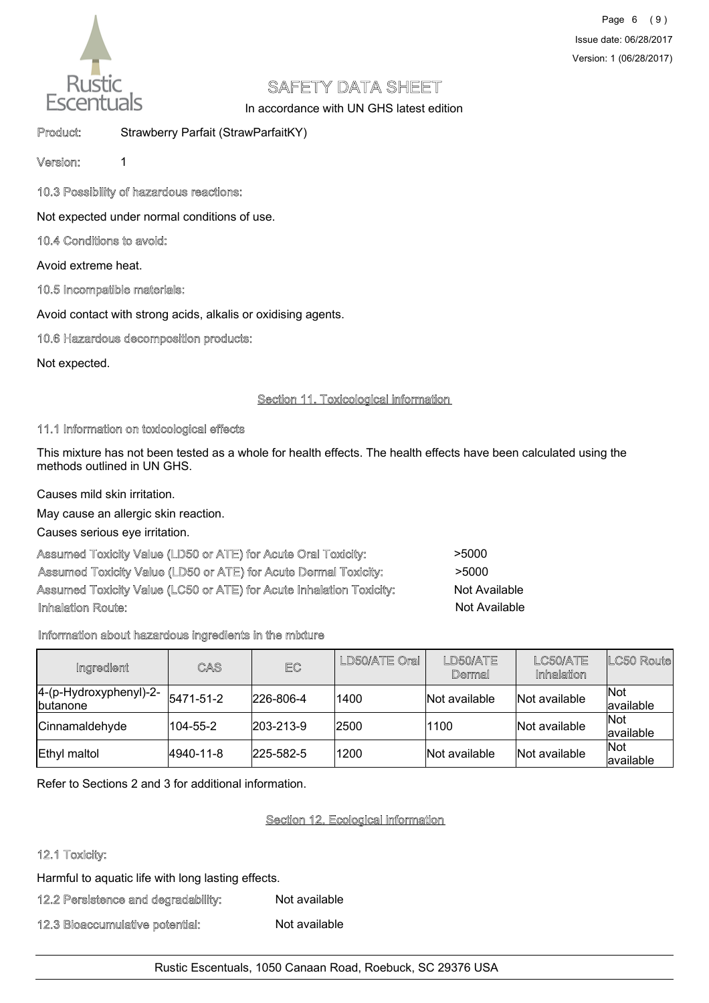

In accordance with UN GHS latest edition

Product: Strawberry Parfait (StrawParfaitKY)

Version: 1

10.3 Possibility of hazardous reactions:

Not expected under normal conditions of use.

# 10.4 Conditions to avoid:

Avoid extreme heat.

# 10.5 Incompatible materials:

Avoid contact with strong acids, alkalis or oxidising agents.

# 10.6 Hazardous decomposition products:

Not expected.

# Section 11. Toxicological information

#### 11.1 Information on toxicological effects

This mixture has not been tested as a whole for health effects. The health effects have been calculated using the methods outlined in UN GHS.

Causes mild skin irritation.

May cause an allergic skin reaction.

Causes serious eye irritation.

| Assumed Toxicity Value (LD50 or ATE) for Acute Oral Toxicity:       | >5000                |
|---------------------------------------------------------------------|----------------------|
| Assumed Toxicity Value (LD50 or ATE) for Acute Dermal Toxicity:     | >5000                |
| Assumed Toxicity Value (LC50 or ATE) for Acute Inhalation Toxicity: | Not Available        |
| Inhalation Route:                                                   | <b>Not Available</b> |

# Information about hazardous ingredients in the mixture

| Ingredient                                | CAS       | EC                | LD50/ATE Oral | LD50/ATE<br>Dermal | LC50/ATE<br>Inhalation | LC50 Route              |
|-------------------------------------------|-----------|-------------------|---------------|--------------------|------------------------|-------------------------|
| 4-(p-Hydroxyphenyl)-2-<br><b>butanone</b> | 5471-51-2 | 226-806-4         | 1400          | Not available      | Not available          | <b>Not</b><br>available |
| Cinnamaldehyde                            | 104-55-2  | $ 203 - 213 - 9 $ | 2500          | 1100               | Not available          | Not<br>available        |
| Ethyl maltol                              | 4940-11-8 | 225-582-5         | 1200          | Not available      | Not available          | Not<br>lavailable       |

Refer to Sections 2 and 3 for additional information.

# Section 12. Ecological information

# 12.1 Toxicity:

Harmful to aquatic life with long lasting effects.

## 12.2 Persistence and degradability: Not available

# 12.3 Bioaccumulative potential: Not available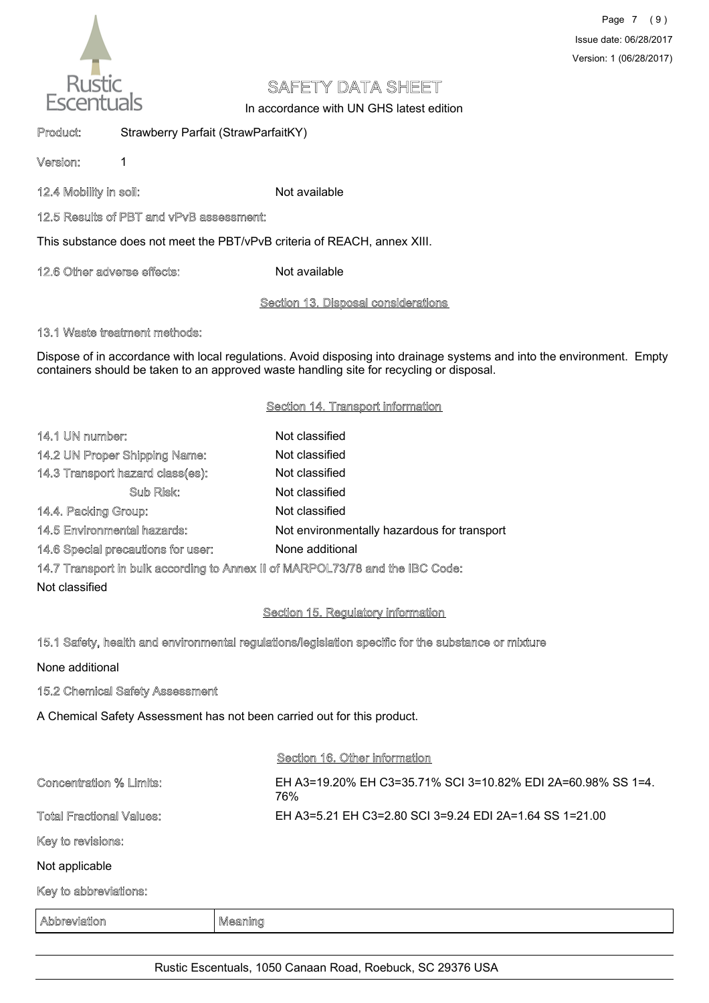

In accordance with UN GHS latest edition

Product: Strawberry Parfait (StrawParfaitKY)

Version: 1

12.4 Mobility in soil: Not available

## 12.5 Results of PBT and vPvB assessment:

This substance does not meet the PBT/vPvB criteria of REACH, annex XIII.

12.6 Other adverse effects: Not available

## Section 13. Disposal considerations

### 13.1 Waste treatment methods:

Dispose of in accordance with local regulations. Avoid disposing into drainage systems and into the environment. Empty containers should be taken to an approved waste handling site for recycling or disposal.

## Section 14. Transport information

| 14.1 UN number:                    | Not classified                              |
|------------------------------------|---------------------------------------------|
| 14.2 UN Proper Shipping Name:      | Not classified                              |
| 14.3 Transport hazard class(es):   | Not classified                              |
| Sub Risk:                          | Not classified                              |
| 14.4. Packing Group:               | Not classified                              |
| 14.5 Environmental hazards:        | Not environmentally hazardous for transport |
| 14.6 Special precautions for user: | None additional                             |
|                                    |                                             |

14.7 Transport in bulk according to Annex II of MARPOL73/78 and the IBC Code:

Not classified

# Section 15. Regulatory information

# 15.1 Safety, health and environmental regulations/legislation specific for the substance or mixture

None additional

# 15.2 Chemical Safety Assessment

A Chemical Safety Assessment has not been carried out for this product.

#### Section 16. Other information

| <b>Concentration % Limits:</b>  | EH A3=19.20% EH C3=35.71% SCI 3=10.82% EDI 2A=60.98% SS 1=4.<br>76% |
|---------------------------------|---------------------------------------------------------------------|
| <b>Total Fractional Values:</b> | EH A3=5.21 EH C3=2.80 SCI 3=9.24 EDI 2A=1.64 SS 1=21.00             |
| Key to revisions:               |                                                                     |
| Not applicable                  |                                                                     |
| Key to abbreviations:           |                                                                     |

Abbreviation Meaning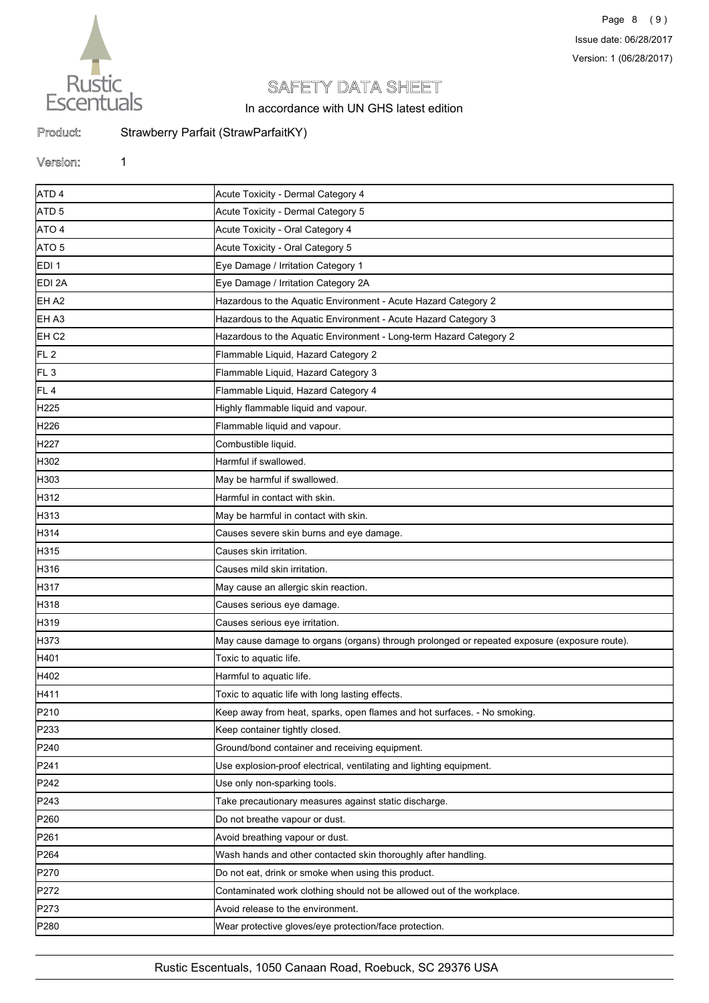

In accordance with UN GHS latest edition

Product: Strawberry Parfait (StrawParfaitKY)

#### Version: 1

ATD 4 Acute Toxicity - Dermal Category 4 ATD 5 Acute Toxicity - Dermal Category 5 ATO 4 Acute Toxicity - Oral Category 4 ATO 5 Acute Toxicity - Oral Category 5 EDI 1 Eye Damage / Irritation Category 1 EDI 2A Eye Damage / Irritation Category 2A EH A2 Hazardous to the Aquatic Environment - Acute Hazard Category 2 EH A3 **Hazardous to the Aquatic Environment - Acute Hazard Category 3** EH C2 **Hazardous to the Aquatic Environment - Long-term Hazard Category 2** Hazard Category 2 FL 2 Flammable Liquid, Hazard Category 2 FL 3 **Flammable Liquid, Hazard Category 3** FL 4 Flammable Liquid, Hazard Category 4 H<sub>225</sub> Highly flammable liquid and vapour. H226 **Flammable liquid and vapour.** H<sub>227</sub> Combustible liquid. H<sub>302</sub> Harmful if swallowed. H303 **May be harmful if swallowed.** H312 **Harmful in contact with skin.** H313 May be harmful in contact with skin. H314 **Causes severe skin burns and eye damage.** H315 Causes skin irritation. H316 Causes mild skin irritation. H317 May cause an allergic skin reaction. H318 **Causes serious eye damage.** H319 Causes serious eye irritation. H373 May cause damage to organs (organs) through prolonged or repeated exposure (exposure route). H401 Toxic to aquatic life. H402 Harmful to aquatic life. H411 **Toxic to aquatic life with long lasting effects**. P210 **Keep away from heat, sparks, open flames and hot surfaces.** - No smoking. P233 **Keep container tightly closed.** P240 **Container and receiving equipment.** Ground/bond container and receiving equipment. P241 Use explosion-proof electrical, ventilating and lighting equipment. P242 **Details and DETE** Use only non-sparking tools. P243 Take precautionary measures against static discharge. P260 **Do not breathe vapour or dust.** Do not breathe vapour or dust. P261 **Avoid breathing vapour or dust.** P264 Wash hands and other contacted skin thoroughly after handling. P270 **Do not eat, drink or smoke when using this product.** P272 **Contaminated work clothing should not be allowed out of the workplace.** P273 Avoid release to the environment. P280 Wear protective gloves/eye protection/face protection.